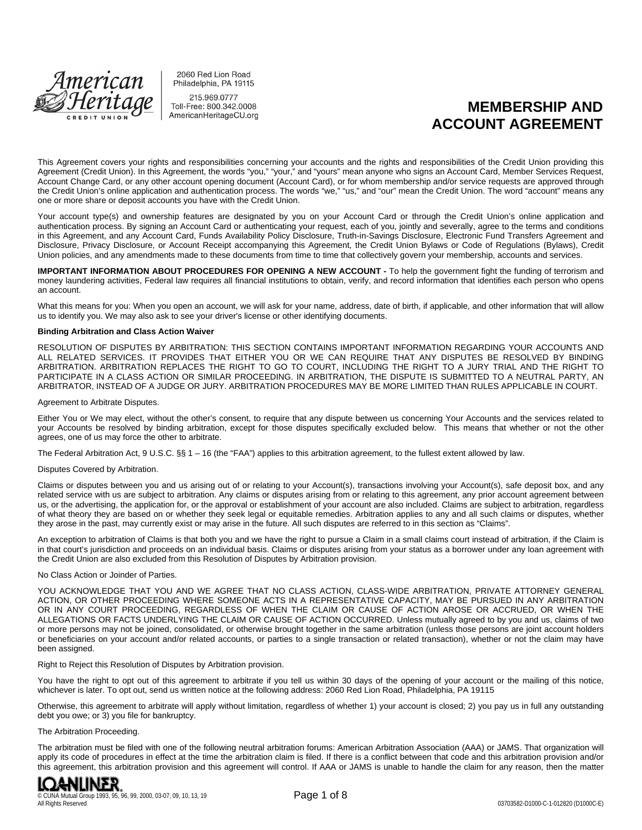

2060 Red Lion Road Philadelphia, PA 19115

215.969.0777 Toll-Free: 800.342.0008 AmericanHeritageCU.org

# **MEMBERSHIP AND ACCOUNT AGREEMENT**

This Agreement covers your rights and responsibilities concerning your accounts and the rights and responsibilities of the Credit Union providing this Agreement (Credit Union). In this Agreement, the words "you," "your," and "yours" mean anyone who signs an Account Card, Member Services Request, Account Change Card, or any other account opening document (Account Card), or for whom membership and/or service requests are approved through the Credit Union's online application and authentication process. The words "we," "us," and "our" mean the Credit Union. The word "account" means any one or more share or deposit accounts you have with the Credit Union.

Your account type(s) and ownership features are designated by you on your Account Card or through the Credit Union's online application and authentication process. By signing an Account Card or authenticating your request, each of you, jointly and severally, agree to the terms and conditions in this Agreement, and any Account Card, Funds Availability Policy Disclosure, Truth-in-Savings Disclosure, Electronic Fund Transfers Agreement and Disclosure, Privacy Disclosure, or Account Receipt accompanying this Agreement, the Credit Union Bylaws or Code of Regulations (Bylaws), Credit Union policies, and any amendments made to these documents from time to time that collectively govern your membership, accounts and services.

**IMPORTANT INFORMATION ABOUT PROCEDURES FOR OPENING A NEW ACCOUNT -** To help the government fight the funding of terrorism and money laundering activities, Federal law requires all financial institutions to obtain, verify, and record information that identifies each person who opens an account.

What this means for you: When you open an account, we will ask for your name, address, date of birth, if applicable, and other information that will allow us to identify you. We may also ask to see your driver's license or other identifying documents.

#### **Binding Arbitration and Class Action Waiver**

RESOLUTION OF DISPUTES BY ARBITRATION: THIS SECTION CONTAINS IMPORTANT INFORMATION REGARDING YOUR ACCOUNTS AND ALL RELATED SERVICES. IT PROVIDES THAT EITHER YOU OR WE CAN REQUIRE THAT ANY DISPUTES BE RESOLVED BY BINDING ARBITRATION. ARBITRATION REPLACES THE RIGHT TO GO TO COURT, INCLUDING THE RIGHT TO A JURY TRIAL AND THE RIGHT TO PARTICIPATE IN A CLASS ACTION OR SIMILAR PROCEEDING. IN ARBITRATION, THE DISPUTE IS SUBMITTED TO A NEUTRAL PARTY, AN ARBITRATOR, INSTEAD OF A JUDGE OR JURY. ARBITRATION PROCEDURES MAY BE MORE LIMITED THAN RULES APPLICABLE IN COURT.

#### Agreement to Arbitrate Disputes.

Either You or We may elect, without the other's consent, to require that any dispute between us concerning Your Accounts and the services related to your Accounts be resolved by binding arbitration, except for those disputes specifically excluded below. This means that whether or not the other agrees, one of us may force the other to arbitrate.

The Federal Arbitration Act, 9 U.S.C. §§ 1 – 16 (the "FAA") applies to this arbitration agreement, to the fullest extent allowed by law.

#### Disputes Covered by Arbitration.

Claims or disputes between you and us arising out of or relating to your Account(s), transactions involving your Account(s), safe deposit box, and any related service with us are subject to arbitration. Any claims or disputes arising from or relating to this agreement, any prior account agreement between us, or the advertising, the application for, or the approval or establishment of your account are also included. Claims are subject to arbitration, regardless of what theory they are based on or whether they seek legal or equitable remedies. Arbitration applies to any and all such claims or disputes, whether they arose in the past, may currently exist or may arise in the future. All such disputes are referred to in this section as "Claims".

An exception to arbitration of Claims is that both you and we have the right to pursue a Claim in a small claims court instead of arbitration, if the Claim is in that court's jurisdiction and proceeds on an individual basis. Claims or disputes arising from your status as a borrower under any loan agreement with the Credit Union are also excluded from this Resolution of Disputes by Arbitration provision.

#### No Class Action or Joinder of Parties.

YOU ACKNOWLEDGE THAT YOU AND WE AGREE THAT NO CLASS ACTION, CLASS-WIDE ARBITRATION, PRIVATE ATTORNEY GENERAL ACTION, OR OTHER PROCEEDING WHERE SOMEONE ACTS IN A REPRESENTATIVE CAPACITY, MAY BE PURSUED IN ANY ARBITRATION OR IN ANY COURT PROCEEDING, REGARDLESS OF WHEN THE CLAIM OR CAUSE OF ACTION AROSE OR ACCRUED, OR WHEN THE ALLEGATIONS OR FACTS UNDERLYING THE CLAIM OR CAUSE OF ACTION OCCURRED. Unless mutually agreed to by you and us, claims of two or more persons may not be joined, consolidated, or otherwise brought together in the same arbitration (unless those persons are joint account holders or beneficiaries on your account and/or related accounts, or parties to a single transaction or related transaction), whether or not the claim may have been assigned.

Right to Reject this Resolution of Disputes by Arbitration provision.

You have the right to opt out of this agreement to arbitrate if you tell us within 30 days of the opening of your account or the mailing of this notice, whichever is later. To opt out, send us written notice at the following address: 2060 Red Lion Road, Philadelphia, PA 19115

Otherwise, this agreement to arbitrate will apply without limitation, regardless of whether 1) your account is closed; 2) you pay us in full any outstanding debt you owe; or 3) you file for bankruptcy.

#### The Arbitration Proceeding.

The arbitration must be filed with one of the following neutral arbitration forums: American Arbitration Association (AAA) or JAMS. That organization will apply its code of procedures in effect at the time the arbitration claim is filed. If there is a conflict between that code and this arbitration provision and/or this agreement, this arbitration provision and this agreement will control. If AAA or JAMS is unable to handle the claim for any reason, then the matter

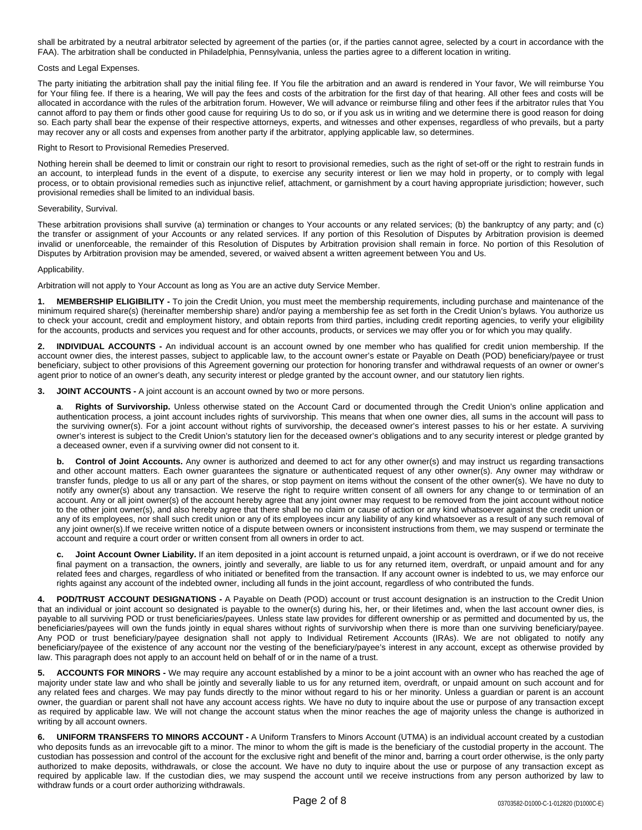shall be arbitrated by a neutral arbitrator selected by agreement of the parties (or, if the parties cannot agree, selected by a court in accordance with the FAA). The arbitration shall be conducted in Philadelphia, Pennsylvania, unless the parties agree to a different location in writing.

#### Costs and Legal Expenses.

The party initiating the arbitration shall pay the initial filing fee. If You file the arbitration and an award is rendered in Your favor, We will reimburse You for Your filing fee. If there is a hearing, We will pay the fees and costs of the arbitration for the first day of that hearing. All other fees and costs will be allocated in accordance with the rules of the arbitration forum. However, We will advance or reimburse filing and other fees if the arbitrator rules that You cannot afford to pay them or finds other good cause for requiring Us to do so, or if you ask us in writing and we determine there is good reason for doing so. Each party shall bear the expense of their respective attorneys, experts, and witnesses and other expenses, regardless of who prevails, but a party may recover any or all costs and expenses from another party if the arbitrator, applying applicable law, so determines.

#### Right to Resort to Provisional Remedies Preserved.

Nothing herein shall be deemed to limit or constrain our right to resort to provisional remedies, such as the right of set-off or the right to restrain funds in an account, to interplead funds in the event of a dispute, to exercise any security interest or lien we may hold in property, or to comply with legal process, or to obtain provisional remedies such as injunctive relief, attachment, or garnishment by a court having appropriate jurisdiction; however, such provisional remedies shall be limited to an individual basis.

#### Severability, Survival.

These arbitration provisions shall survive (a) termination or changes to Your accounts or any related services; (b) the bankruptcy of any party; and (c) the transfer or assignment of your Accounts or any related services. If any portion of this Resolution of Disputes by Arbitration provision is deemed invalid or unenforceable, the remainder of this Resolution of Disputes by Arbitration provision shall remain in force. No portion of this Resolution of Disputes by Arbitration provision may be amended, severed, or waived absent a written agreement between You and Us.

#### Applicability.

Arbitration will not apply to Your Account as long as You are an active duty Service Member.

**1. MEMBERSHIP ELIGIBILITY -** To join the Credit Union, you must meet the membership requirements, including purchase and maintenance of the minimum required share(s) (hereinafter membership share) and/or paying a membership fee as set forth in the Credit Union's bylaws. You authorize us to check your account, credit and employment history, and obtain reports from third parties, including credit reporting agencies, to verify your eligibility for the accounts, products and services you request and for other accounts, products, or services we may offer you or for which you may qualify.

**2. INDIVIDUAL ACCOUNTS -** An individual account is an account owned by one member who has qualified for credit union membership. If the account owner dies, the interest passes, subject to applicable law, to the account owner's estate or Payable on Death (POD) beneficiary/payee or trust beneficiary, subject to other provisions of this Agreement governing our protection for honoring transfer and withdrawal requests of an owner or owner's agent prior to notice of an owner's death, any security interest or pledge granted by the account owner, and our statutory lien rights.

**3. JOINT ACCOUNTS -** A joint account is an account owned by two or more persons.

**a**. **Rights of Survivorship.** Unless otherwise stated on the Account Card or documented through the Credit Union's online application and authentication process, a joint account includes rights of survivorship. This means that when one owner dies, all sums in the account will pass to the surviving owner(s). For a joint account without rights of survivorship, the deceased owner's interest passes to his or her estate. A surviving owner's interest is subject to the Credit Union's statutory lien for the deceased owner's obligations and to any security interest or pledge granted by a deceased owner, even if a surviving owner did not consent to it.

**b. Control of Joint Accounts.** Any owner is authorized and deemed to act for any other owner(s) and may instruct us regarding transactions and other account matters. Each owner guarantees the signature or authenticated request of any other owner(s). Any owner may withdraw or transfer funds, pledge to us all or any part of the shares, or stop payment on items without the consent of the other owner(s). We have no duty to notify any owner(s) about any transaction. We reserve the right to require written consent of all owners for any change to or termination of an account. Any or all joint owner(s) of the account hereby agree that any joint owner may request to be removed from the joint account without notice to the other joint owner(s), and also hereby agree that there shall be no claim or cause of action or any kind whatsoever against the credit union or any of its employees, nor shall such credit union or any of its employees incur any liability of any kind whatsoever as a result of any such removal of any joint owner(s).If we receive written notice of a dispute between owners or inconsistent instructions from them, we may suspend or terminate the account and require a court order or written consent from all owners in order to act.

**c. Joint Account Owner Liability.** If an item deposited in a joint account is returned unpaid, a joint account is overdrawn, or if we do not receive final payment on a transaction, the owners, jointly and severally, are liable to us for any returned item, overdraft, or unpaid amount and for any related fees and charges, regardless of who initiated or benefited from the transaction. If any account owner is indebted to us, we may enforce our rights against any account of the indebted owner, including all funds in the joint account, regardless of who contributed the funds.

**4. POD/TRUST ACCOUNT DESIGNATIONS -** A Payable on Death (POD) account or trust account designation is an instruction to the Credit Union that an individual or joint account so designated is payable to the owner(s) during his, her, or their lifetimes and, when the last account owner dies, is payable to all surviving POD or trust beneficiaries/payees. Unless state law provides for different ownership or as permitted and documented by us, the beneficiaries/payees will own the funds jointly in equal shares without rights of survivorship when there is more than one surviving beneficiary/payee. Any POD or trust beneficiary/payee designation shall not apply to Individual Retirement Accounts (IRAs). We are not obligated to notify any beneficiary/payee of the existence of any account nor the vesting of the beneficiary/payee's interest in any account, except as otherwise provided by law. This paragraph does not apply to an account held on behalf of or in the name of a trust.

**5. ACCOUNTS FOR MINORS -** We may require any account established by a minor to be a joint account with an owner who has reached the age of majority under state law and who shall be jointly and severally liable to us for any returned item, overdraft, or unpaid amount on such account and for any related fees and charges. We may pay funds directly to the minor without regard to his or her minority. Unless a guardian or parent is an account owner, the guardian or parent shall not have any account access rights. We have no duty to inquire about the use or purpose of any transaction except as required by applicable law. We will not change the account status when the minor reaches the age of majority unless the change is authorized in writing by all account owners.

**6. UNIFORM TRANSFERS TO MINORS ACCOUNT -** A Uniform Transfers to Minors Account (UTMA) is an individual account created by a custodian who deposits funds as an irrevocable gift to a minor. The minor to whom the gift is made is the beneficiary of the custodial property in the account. The custodian has possession and control of the account for the exclusive right and benefit of the minor and, barring a court order otherwise, is the only party authorized to make deposits, withdrawals, or close the account. We have no duty to inquire about the use or purpose of any transaction except as required by applicable law. If the custodian dies, we may suspend the account until we receive instructions from any person authorized by law to withdraw funds or a court order authorizing withdrawals.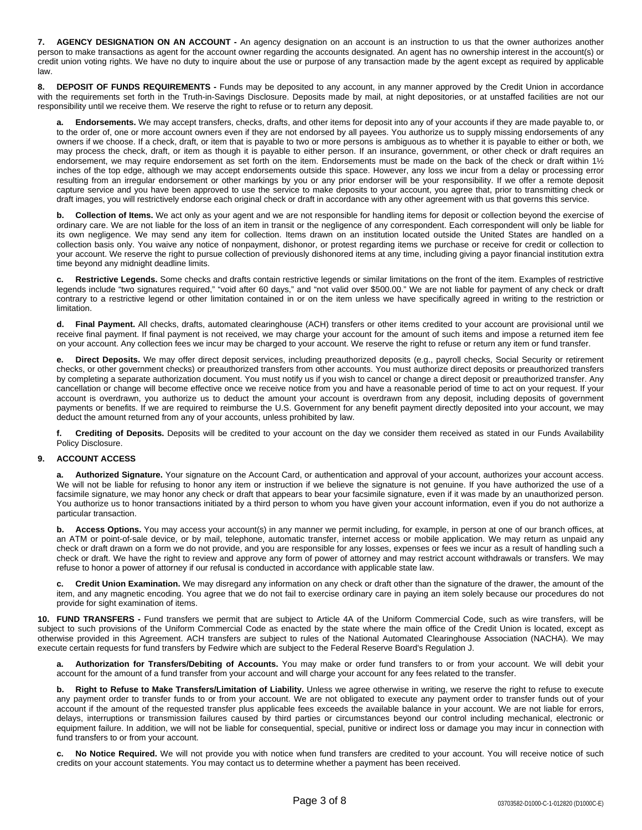**7. AGENCY DESIGNATION ON AN ACCOUNT -** An agency designation on an account is an instruction to us that the owner authorizes another person to make transactions as agent for the account owner regarding the accounts designated. An agent has no ownership interest in the account(s) or credit union voting rights. We have no duty to inquire about the use or purpose of any transaction made by the agent except as required by applicable law.

**8. DEPOSIT OF FUNDS REQUIREMENTS -** Funds may be deposited to any account, in any manner approved by the Credit Union in accordance with the requirements set forth in the Truth-in-Savings Disclosure. Deposits made by mail, at night depositories, or at unstaffed facilities are not our responsibility until we receive them. We reserve the right to refuse or to return any deposit.

**a. Endorsements.** We may accept transfers, checks, drafts, and other items for deposit into any of your accounts if they are made payable to, or to the order of, one or more account owners even if they are not endorsed by all payees. You authorize us to supply missing endorsements of any owners if we choose. If a check, draft, or item that is payable to two or more persons is ambiguous as to whether it is payable to either or both, we may process the check, draft, or item as though it is payable to either person. If an insurance, government, or other check or draft requires an endorsement, we may require endorsement as set forth on the item. Endorsements must be made on the back of the check or draft within 1½ inches of the top edge, although we may accept endorsements outside this space. However, any loss we incur from a delay or processing error resulting from an irregular endorsement or other markings by you or any prior endorser will be your responsibility. If we offer a remote deposit capture service and you have been approved to use the service to make deposits to your account, you agree that, prior to transmitting check or draft images, you will restrictively endorse each original check or draft in accordance with any other agreement with us that governs this service.

**b. Collection of Items.** We act only as your agent and we are not responsible for handling items for deposit or collection beyond the exercise of ordinary care. We are not liable for the loss of an item in transit or the negligence of any correspondent. Each correspondent will only be liable for its own negligence. We may send any item for collection. Items drawn on an institution located outside the United States are handled on a collection basis only. You waive any notice of nonpayment, dishonor, or protest regarding items we purchase or receive for credit or collection to your account. We reserve the right to pursue collection of previously dishonored items at any time, including giving a payor financial institution extra time beyond any midnight deadline limits.

**c. Restrictive Legends.** Some checks and drafts contain restrictive legends or similar limitations on the front of the item. Examples of restrictive legends include "two signatures required," "void after 60 days," and "not valid over \$500.00." We are not liable for payment of any check or draft contrary to a restrictive legend or other limitation contained in or on the item unless we have specifically agreed in writing to the restriction or limitation.

**d. Final Payment.** All checks, drafts, automated clearinghouse (ACH) transfers or other items credited to your account are provisional until we receive final payment. If final payment is not received, we may charge your account for the amount of such items and impose a returned item fee on your account. Any collection fees we incur may be charged to your account. We reserve the right to refuse or return any item or fund transfer.

**e. Direct Deposits.** We may offer direct deposit services, including preauthorized deposits (e.g., payroll checks, Social Security or retirement checks, or other government checks) or preauthorized transfers from other accounts. You must authorize direct deposits or preauthorized transfers by completing a separate authorization document. You must notify us if you wish to cancel or change a direct deposit or preauthorized transfer. Any cancellation or change will become effective once we receive notice from you and have a reasonable period of time to act on your request. If your account is overdrawn, you authorize us to deduct the amount your account is overdrawn from any deposit, including deposits of government payments or benefits. If we are required to reimburse the U.S. Government for any benefit payment directly deposited into your account, we may deduct the amount returned from any of your accounts, unless prohibited by law.

**f. Crediting of Deposits.** Deposits will be credited to your account on the day we consider them received as stated in our Funds Availability Policy Disclosure.

# **9. ACCOUNT ACCESS**

**a. Authorized Signature.** Your signature on the Account Card, or authentication and approval of your account, authorizes your account access. We will not be liable for refusing to honor any item or instruction if we believe the signature is not genuine. If you have authorized the use of a facsimile signature, we may honor any check or draft that appears to bear your facsimile signature, even if it was made by an unauthorized person. You authorize us to honor transactions initiated by a third person to whom you have given your account information, even if you do not authorize a particular transaction.

**b. Access Options.** You may access your account(s) in any manner we permit including, for example, in person at one of our branch offices, at an ATM or point-of-sale device, or by mail, telephone, automatic transfer, internet access or mobile application. We may return as unpaid any check or draft drawn on a form we do not provide, and you are responsible for any losses, expenses or fees we incur as a result of handling such a check or draft. We have the right to review and approve any form of power of attorney and may restrict account withdrawals or transfers. We may refuse to honor a power of attorney if our refusal is conducted in accordance with applicable state law.

**c. Credit Union Examination.** We may disregard any information on any check or draft other than the signature of the drawer, the amount of the item, and any magnetic encoding. You agree that we do not fail to exercise ordinary care in paying an item solely because our procedures do not provide for sight examination of items.

**10. FUND TRANSFERS -** Fund transfers we permit that are subject to Article 4A of the Uniform Commercial Code, such as wire transfers, will be subject to such provisions of the Uniform Commercial Code as enacted by the state where the main office of the Credit Union is located, except as otherwise provided in this Agreement. ACH transfers are subject to rules of the National Automated Clearinghouse Association (NACHA). We may execute certain requests for fund transfers by Fedwire which are subject to the Federal Reserve Board's Regulation J.

**a. Authorization for Transfers/Debiting of Accounts.** You may make or order fund transfers to or from your account. We will debit your account for the amount of a fund transfer from your account and will charge your account for any fees related to the transfer.

**b. Right to Refuse to Make Transfers/Limitation of Liability.** Unless we agree otherwise in writing, we reserve the right to refuse to execute any payment order to transfer funds to or from your account. We are not obligated to execute any payment order to transfer funds out of your account if the amount of the requested transfer plus applicable fees exceeds the available balance in your account. We are not liable for errors, delays, interruptions or transmission failures caused by third parties or circumstances beyond our control including mechanical, electronic or equipment failure. In addition, we will not be liable for consequential, special, punitive or indirect loss or damage you may incur in connection with fund transfers to or from your account.

**c. No Notice Required.** We will not provide you with notice when fund transfers are credited to your account. You will receive notice of such credits on your account statements. You may contact us to determine whether a payment has been received.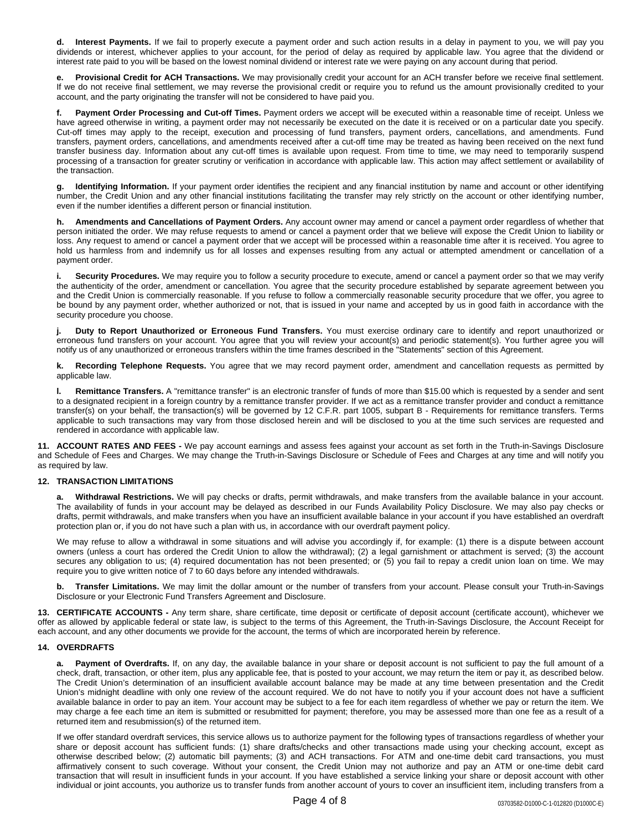**d. Interest Payments.** If we fail to properly execute a payment order and such action results in a delay in payment to you, we will pay you dividends or interest, whichever applies to your account, for the period of delay as required by applicable law. You agree that the dividend or interest rate paid to you will be based on the lowest nominal dividend or interest rate we were paying on any account during that period.

**e. Provisional Credit for ACH Transactions.** We may provisionally credit your account for an ACH transfer before we receive final settlement. If we do not receive final settlement, we may reverse the provisional credit or require you to refund us the amount provisionally credited to your account, and the party originating the transfer will not be considered to have paid you.

**f. Payment Order Processing and Cut-off Times.** Payment orders we accept will be executed within a reasonable time of receipt. Unless we have agreed otherwise in writing, a payment order may not necessarily be executed on the date it is received or on a particular date you specify. Cut-off times may apply to the receipt, execution and processing of fund transfers, payment orders, cancellations, and amendments. Fund transfers, payment orders, cancellations, and amendments received after a cut-off time may be treated as having been received on the next fund transfer business day. Information about any cut-off times is available upon request. From time to time, we may need to temporarily suspend processing of a transaction for greater scrutiny or verification in accordance with applicable law. This action may affect settlement or availability of the transaction.

**g. Identifying Information.** If your payment order identifies the recipient and any financial institution by name and account or other identifying number, the Credit Union and any other financial institutions facilitating the transfer may rely strictly on the account or other identifying number, even if the number identifies a different person or financial institution.

**h. Amendments and Cancellations of Payment Orders.** Any account owner may amend or cancel a payment order regardless of whether that person initiated the order. We may refuse requests to amend or cancel a payment order that we believe will expose the Credit Union to liability or loss. Any request to amend or cancel a payment order that we accept will be processed within a reasonable time after it is received. You agree to hold us harmless from and indemnify us for all losses and expenses resulting from any actual or attempted amendment or cancellation of a payment order.

**i. Security Procedures.** We may require you to follow a security procedure to execute, amend or cancel a payment order so that we may verify the authenticity of the order, amendment or cancellation. You agree that the security procedure established by separate agreement between you and the Credit Union is commercially reasonable. If you refuse to follow a commercially reasonable security procedure that we offer, you agree to be bound by any payment order, whether authorized or not, that is issued in your name and accepted by us in good faith in accordance with the security procedure you choose.

**j. Duty to Report Unauthorized or Erroneous Fund Transfers.** You must exercise ordinary care to identify and report unauthorized or erroneous fund transfers on your account. You agree that you will review your account(s) and periodic statement(s). You further agree you will notify us of any unauthorized or erroneous transfers within the time frames described in the "Statements" section of this Agreement.

**k. Recording Telephone Requests.** You agree that we may record payment order, amendment and cancellation requests as permitted by applicable law.

**l. Remittance Transfers.** A "remittance transfer" is an electronic transfer of funds of more than \$15.00 which is requested by a sender and sent to a designated recipient in a foreign country by a remittance transfer provider. If we act as a remittance transfer provider and conduct a remittance transfer(s) on your behalf, the transaction(s) will be governed by 12 C.F.R. part 1005, subpart B - Requirements for remittance transfers. Terms applicable to such transactions may vary from those disclosed herein and will be disclosed to you at the time such services are requested and rendered in accordance with applicable law.

**11. ACCOUNT RATES AND FEES -** We pay account earnings and assess fees against your account as set forth in the Truth-in-Savings Disclosure and Schedule of Fees and Charges. We may change the Truth-in-Savings Disclosure or Schedule of Fees and Charges at any time and will notify you as required by law.

# **12. TRANSACTION LIMITATIONS**

**a. Withdrawal Restrictions.** We will pay checks or drafts, permit withdrawals, and make transfers from the available balance in your account. The availability of funds in your account may be delayed as described in our Funds Availability Policy Disclosure. We may also pay checks or drafts, permit withdrawals, and make transfers when you have an insufficient available balance in your account if you have established an overdraft protection plan or, if you do not have such a plan with us, in accordance with our overdraft payment policy.

We may refuse to allow a withdrawal in some situations and will advise you accordingly if, for example: (1) there is a dispute between account owners (unless a court has ordered the Credit Union to allow the withdrawal); (2) a legal garnishment or attachment is served; (3) the account secures any obligation to us; (4) required documentation has not been presented; or (5) you fail to repay a credit union loan on time. We may require you to give written notice of 7 to 60 days before any intended withdrawals.

**b. Transfer Limitations.** We may limit the dollar amount or the number of transfers from your account. Please consult your Truth-in-Savings Disclosure or your Electronic Fund Transfers Agreement and Disclosure.

**13. CERTIFICATE ACCOUNTS -** Any term share, share certificate, time deposit or certificate of deposit account (certificate account), whichever we offer as allowed by applicable federal or state law, is subject to the terms of this Agreement, the Truth-in-Savings Disclosure, the Account Receipt for each account, and any other documents we provide for the account, the terms of which are incorporated herein by reference.

# **14. OVERDRAFTS**

**a. Payment of Overdrafts.** If, on any day, the available balance in your share or deposit account is not sufficient to pay the full amount of a check, draft, transaction, or other item, plus any applicable fee, that is posted to your account, we may return the item or pay it, as described below. The Credit Union's determination of an insufficient available account balance may be made at any time between presentation and the Credit Union's midnight deadline with only one review of the account required. We do not have to notify you if your account does not have a sufficient available balance in order to pay an item. Your account may be subject to a fee for each item regardless of whether we pay or return the item. We may charge a fee each time an item is submitted or resubmitted for payment; therefore, you may be assessed more than one fee as a result of a returned item and resubmission(s) of the returned item.

If we offer standard overdraft services, this service allows us to authorize payment for the following types of transactions regardless of whether your share or deposit account has sufficient funds: (1) share drafts/checks and other transactions made using your checking account, except as otherwise described below; (2) automatic bill payments; (3) and ACH transactions. For ATM and one-time debit card transactions, you must affirmatively consent to such coverage. Without your consent, the Credit Union may not authorize and pay an ATM or one-time debit card transaction that will result in insufficient funds in your account. If you have established a service linking your share or deposit account with other individual or joint accounts, you authorize us to transfer funds from another account of yours to cover an insufficient item, including transfers from a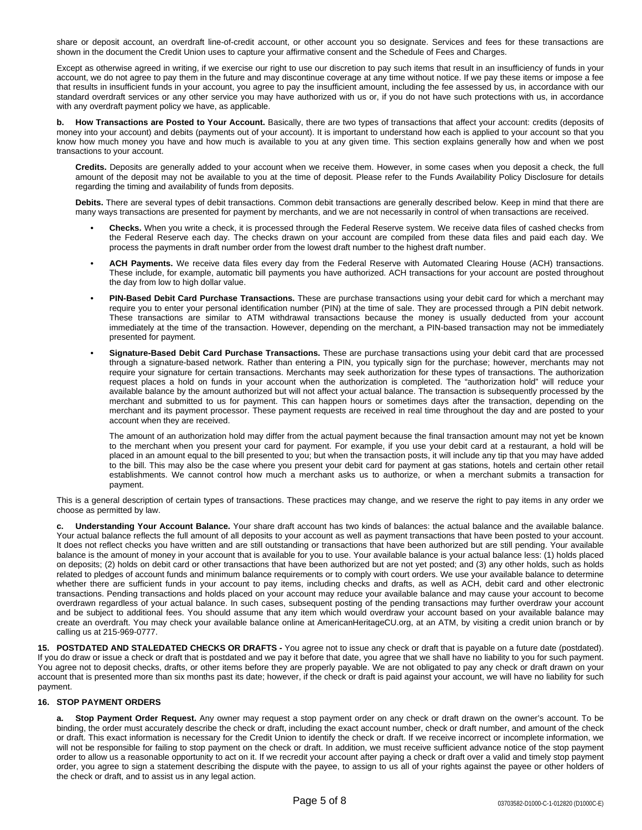share or deposit account, an overdraft line-of-credit account, or other account you so designate. Services and fees for these transactions are shown in the document the Credit Union uses to capture your affirmative consent and the Schedule of Fees and Charges.

Except as otherwise agreed in writing, if we exercise our right to use our discretion to pay such items that result in an insufficiency of funds in your account, we do not agree to pay them in the future and may discontinue coverage at any time without notice. If we pay these items or impose a fee that results in insufficient funds in your account, you agree to pay the insufficient amount, including the fee assessed by us, in accordance with our standard overdraft services or any other service you may have authorized with us or, if you do not have such protections with us, in accordance with any overdraft payment policy we have, as applicable.

**b. How Transactions are Posted to Your Account.** Basically, there are two types of transactions that affect your account: credits (deposits of money into your account) and debits (payments out of your account). It is important to understand how each is applied to your account so that you know how much money you have and how much is available to you at any given time. This section explains generally how and when we post transactions to your account.

**Credits.** Deposits are generally added to your account when we receive them. However, in some cases when you deposit a check, the full amount of the deposit may not be available to you at the time of deposit. Please refer to the Funds Availability Policy Disclosure for details regarding the timing and availability of funds from deposits.

**Debits.** There are several types of debit transactions. Common debit transactions are generally described below. Keep in mind that there are many ways transactions are presented for payment by merchants, and we are not necessarily in control of when transactions are received.

- **• Checks.** When you write a check, it is processed through the Federal Reserve system. We receive data files of cashed checks from the Federal Reserve each day. The checks drawn on your account are compiled from these data files and paid each day. We process the payments in draft number order from the lowest draft number to the highest draft number.
- **• ACH Payments.** We receive data files every day from the Federal Reserve with Automated Clearing House (ACH) transactions. These include, for example, automatic bill payments you have authorized. ACH transactions for your account are posted throughout the day from low to high dollar value.
- **• PIN-Based Debit Card Purchase Transactions.** These are purchase transactions using your debit card for which a merchant may require you to enter your personal identification number (PIN) at the time of sale. They are processed through a PIN debit network. These transactions are similar to ATM withdrawal transactions because the money is usually deducted from your account immediately at the time of the transaction. However, depending on the merchant, a PIN-based transaction may not be immediately presented for payment.
- **• Signature-Based Debit Card Purchase Transactions.** These are purchase transactions using your debit card that are processed through a signature-based network. Rather than entering a PIN, you typically sign for the purchase; however, merchants may not require your signature for certain transactions. Merchants may seek authorization for these types of transactions. The authorization request places a hold on funds in your account when the authorization is completed. The "authorization hold" will reduce your available balance by the amount authorized but will not affect your actual balance. The transaction is subsequently processed by the merchant and submitted to us for payment. This can happen hours or sometimes days after the transaction, depending on the merchant and its payment processor. These payment requests are received in real time throughout the day and are posted to your account when they are received.

The amount of an authorization hold may differ from the actual payment because the final transaction amount may not yet be known to the merchant when you present your card for payment. For example, if you use your debit card at a restaurant, a hold will be placed in an amount equal to the bill presented to you; but when the transaction posts, it will include any tip that you may have added to the bill. This may also be the case where you present your debit card for payment at gas stations, hotels and certain other retail establishments. We cannot control how much a merchant asks us to authorize, or when a merchant submits a transaction for payment.

This is a general description of certain types of transactions. These practices may change, and we reserve the right to pay items in any order we choose as permitted by law.

**c. Understanding Your Account Balance.** Your share draft account has two kinds of balances: the actual balance and the available balance. Your actual balance reflects the full amount of all deposits to your account as well as payment transactions that have been posted to your account. It does not reflect checks you have written and are still outstanding or transactions that have been authorized but are still pending. Your available balance is the amount of money in your account that is available for you to use. Your available balance is your actual balance less: (1) holds placed on deposits; (2) holds on debit card or other transactions that have been authorized but are not yet posted; and (3) any other holds, such as holds related to pledges of account funds and minimum balance requirements or to comply with court orders. We use your available balance to determine whether there are sufficient funds in your account to pay items, including checks and drafts, as well as ACH, debit card and other electronic transactions. Pending transactions and holds placed on your account may reduce your available balance and may cause your account to become overdrawn regardless of your actual balance. In such cases, subsequent posting of the pending transactions may further overdraw your account and be subject to additional fees. You should assume that any item which would overdraw your account based on your available balance may create an overdraft. You may check your available balance online at AmericanHeritageCU.org, at an ATM, by visiting a credit union branch or by calling us at 215-969-0777.

**15. POSTDATED AND STALEDATED CHECKS OR DRAFTS -** You agree not to issue any check or draft that is payable on a future date (postdated). If you do draw or issue a check or draft that is postdated and we pay it before that date, you agree that we shall have no liability to you for such payment. You agree not to deposit checks, drafts, or other items before they are properly payable. We are not obligated to pay any check or draft drawn on your account that is presented more than six months past its date; however, if the check or draft is paid against your account, we will have no liability for such payment.

# **16. STOP PAYMENT ORDERS**

**a. Stop Payment Order Request.** Any owner may request a stop payment order on any check or draft drawn on the owner's account. To be binding, the order must accurately describe the check or draft, including the exact account number, check or draft number, and amount of the check or draft. This exact information is necessary for the Credit Union to identify the check or draft. If we receive incorrect or incomplete information, we will not be responsible for failing to stop payment on the check or draft. In addition, we must receive sufficient advance notice of the stop payment order to allow us a reasonable opportunity to act on it. If we recredit your account after paying a check or draft over a valid and timely stop payment order, you agree to sign a statement describing the dispute with the payee, to assign to us all of your rights against the payee or other holders of the check or draft, and to assist us in any legal action.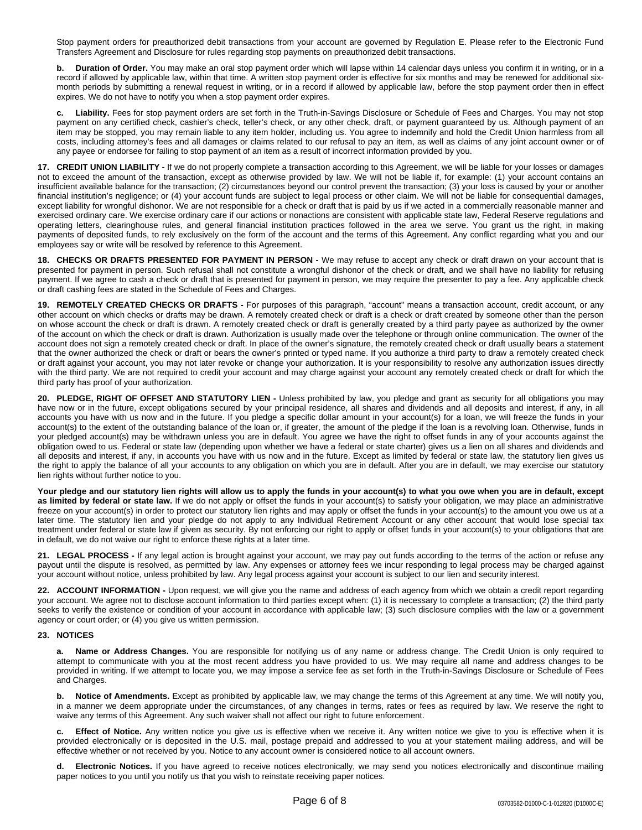Stop payment orders for preauthorized debit transactions from your account are governed by Regulation E. Please refer to the Electronic Fund Transfers Agreement and Disclosure for rules regarding stop payments on preauthorized debit transactions.

**b. Duration of Order.** You may make an oral stop payment order which will lapse within 14 calendar days unless you confirm it in writing, or in a record if allowed by applicable law, within that time. A written stop payment order is effective for six months and may be renewed for additional sixmonth periods by submitting a renewal request in writing, or in a record if allowed by applicable law, before the stop payment order then in effect expires. We do not have to notify you when a stop payment order expires.

**c. Liability.** Fees for stop payment orders are set forth in the Truth-in-Savings Disclosure or Schedule of Fees and Charges. You may not stop payment on any certified check, cashier's check, teller's check, or any other check, draft, or payment guaranteed by us. Although payment of an item may be stopped, you may remain liable to any item holder, including us. You agree to indemnify and hold the Credit Union harmless from all costs, including attorney's fees and all damages or claims related to our refusal to pay an item, as well as claims of any joint account owner or of any payee or endorsee for failing to stop payment of an item as a result of incorrect information provided by you.

**17. CREDIT UNION LIABILITY -** If we do not properly complete a transaction according to this Agreement, we will be liable for your losses or damages not to exceed the amount of the transaction, except as otherwise provided by law. We will not be liable if, for example: (1) your account contains an insufficient available balance for the transaction; (2) circumstances beyond our control prevent the transaction; (3) your loss is caused by your or another financial institution's negligence; or (4) your account funds are subject to legal process or other claim. We will not be liable for consequential damages, except liability for wrongful dishonor. We are not responsible for a check or draft that is paid by us if we acted in a commercially reasonable manner and exercised ordinary care. We exercise ordinary care if our actions or nonactions are consistent with applicable state law, Federal Reserve regulations and operating letters, clearinghouse rules, and general financial institution practices followed in the area we serve. You grant us the right, in making payments of deposited funds, to rely exclusively on the form of the account and the terms of this Agreement. Any conflict regarding what you and our employees say or write will be resolved by reference to this Agreement.

**18. CHECKS OR DRAFTS PRESENTED FOR PAYMENT IN PERSON -** We may refuse to accept any check or draft drawn on your account that is presented for payment in person. Such refusal shall not constitute a wrongful dishonor of the check or draft, and we shall have no liability for refusing payment. If we agree to cash a check or draft that is presented for payment in person, we may require the presenter to pay a fee. Any applicable check or draft cashing fees are stated in the Schedule of Fees and Charges.

**19. REMOTELY CREATED CHECKS OR DRAFTS -** For purposes of this paragraph, "account" means a transaction account, credit account, or any other account on which checks or drafts may be drawn. A remotely created check or draft is a check or draft created by someone other than the person on whose account the check or draft is drawn. A remotely created check or draft is generally created by a third party payee as authorized by the owner of the account on which the check or draft is drawn. Authorization is usually made over the telephone or through online communication. The owner of the account does not sign a remotely created check or draft. In place of the owner's signature, the remotely created check or draft usually bears a statement that the owner authorized the check or draft or bears the owner's printed or typed name. If you authorize a third party to draw a remotely created check or draft against your account, you may not later revoke or change your authorization. It is your responsibility to resolve any authorization issues directly with the third party. We are not required to credit your account and may charge against your account any remotely created check or draft for which the third party has proof of your authorization.

**20. PLEDGE, RIGHT OF OFFSET AND STATUTORY LIEN -** Unless prohibited by law, you pledge and grant as security for all obligations you may have now or in the future, except obligations secured by your principal residence, all shares and dividends and all deposits and interest, if any, in all accounts you have with us now and in the future. If you pledge a specific dollar amount in your account(s) for a loan, we will freeze the funds in your account(s) to the extent of the outstanding balance of the loan or, if greater, the amount of the pledge if the loan is a revolving loan. Otherwise, funds in your pledged account(s) may be withdrawn unless you are in default. You agree we have the right to offset funds in any of your accounts against the obligation owed to us. Federal or state law (depending upon whether we have a federal or state charter) gives us a lien on all shares and dividends and all deposits and interest, if any, in accounts you have with us now and in the future. Except as limited by federal or state law, the statutory lien gives us the right to apply the balance of all your accounts to any obligation on which you are in default. After you are in default, we may exercise our statutory lien rights without further notice to you.

Your pledge and our statutory lien rights will allow us to apply the funds in your account(s) to what you owe when you are in default, except **as limited by federal or state law.** If we do not apply or offset the funds in your account(s) to satisfy your obligation, we may place an administrative freeze on your account(s) in order to protect our statutory lien rights and may apply or offset the funds in your account(s) to the amount you owe us at a later time. The statutory lien and your pledge do not apply to any Individual Retirement Account or any other account that would lose special tax treatment under federal or state law if given as security. By not enforcing our right to apply or offset funds in your account(s) to your obligations that are in default, we do not waive our right to enforce these rights at a later time.

**21. LEGAL PROCESS -** If any legal action is brought against your account, we may pay out funds according to the terms of the action or refuse any payout until the dispute is resolved, as permitted by law. Any expenses or attorney fees we incur responding to legal process may be charged against your account without notice, unless prohibited by law. Any legal process against your account is subject to our lien and security interest.

**22. ACCOUNT INFORMATION -** Upon request, we will give you the name and address of each agency from which we obtain a credit report regarding your account. We agree not to disclose account information to third parties except when: (1) it is necessary to complete a transaction; (2) the third party seeks to verify the existence or condition of your account in accordance with applicable law; (3) such disclosure complies with the law or a government agency or court order; or (4) you give us written permission.

# **23. NOTICES**

**a. Name or Address Changes.** You are responsible for notifying us of any name or address change. The Credit Union is only required to attempt to communicate with you at the most recent address you have provided to us. We may require all name and address changes to be provided in writing. If we attempt to locate you, we may impose a service fee as set forth in the Truth-in-Savings Disclosure or Schedule of Fees and Charges.

**b. Notice of Amendments.** Except as prohibited by applicable law, we may change the terms of this Agreement at any time. We will notify you, in a manner we deem appropriate under the circumstances, of any changes in terms, rates or fees as required by law. We reserve the right to waive any terms of this Agreement. Any such waiver shall not affect our right to future enforcement.

**c. Effect of Notice.** Any written notice you give us is effective when we receive it. Any written notice we give to you is effective when it is provided electronically or is deposited in the U.S. mail, postage prepaid and addressed to you at your statement mailing address, and will be effective whether or not received by you. Notice to any account owner is considered notice to all account owners.

**d. Electronic Notices.** If you have agreed to receive notices electronically, we may send you notices electronically and discontinue mailing paper notices to you until you notify us that you wish to reinstate receiving paper notices.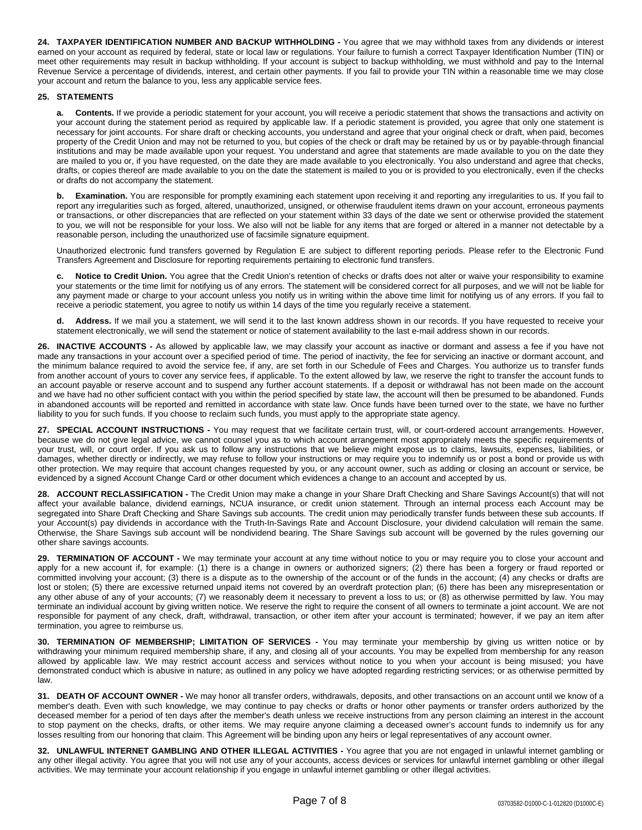**24. TAXPAYER IDENTIFICATION NUMBER AND BACKUP WITHHOLDING -** You agree that we may withhold taxes from any dividends or interest earned on your account as required by federal, state or local law or regulations. Your failure to furnish a correct Taxpayer Identification Number (TIN) or meet other requirements may result in backup withholding. If your account is subject to backup withholding, we must withhold and pay to the Internal Revenue Service a percentage of dividends, interest, and certain other payments. If you fail to provide your TIN within a reasonable time we may close your account and return the balance to you, less any applicable service fees.

# **25. STATEMENTS**

**a. Contents.** If we provide a periodic statement for your account, you will receive a periodic statement that shows the transactions and activity on your account during the statement period as required by applicable law. If a periodic statement is provided, you agree that only one statement is necessary for joint accounts. For share draft or checking accounts, you understand and agree that your original check or draft, when paid, becomes property of the Credit Union and may not be returned to you, but copies of the check or draft may be retained by us or by payable-through financial institutions and may be made available upon your request. You understand and agree that statements are made available to you on the date they are mailed to you or, if you have requested, on the date they are made available to you electronically. You also understand and agree that checks, drafts, or copies thereof are made available to you on the date the statement is mailed to you or is provided to you electronically, even if the checks or drafts do not accompany the statement.

**Examination.** You are responsible for promptly examining each statement upon receiving it and reporting any irregularities to us. If you fail to report any irregularities such as forged, altered, unauthorized, unsigned, or otherwise fraudulent items drawn on your account, erroneous payments or transactions, or other discrepancies that are reflected on your statement within 33 days of the date we sent or otherwise provided the statement to you, we will not be responsible for your loss. We also will not be liable for any items that are forged or altered in a manner not detectable by a reasonable person, including the unauthorized use of facsimile signature equipment.

Unauthorized electronic fund transfers governed by Regulation E are subject to different reporting periods. Please refer to the Electronic Fund Transfers Agreement and Disclosure for reporting requirements pertaining to electronic fund transfers.

**c. Notice to Credit Union.** You agree that the Credit Union's retention of checks or drafts does not alter or waive your responsibility to examine your statements or the time limit for notifying us of any errors. The statement will be considered correct for all purposes, and we will not be liable for any payment made or charge to your account unless you notify us in writing within the above time limit for notifying us of any errors. If you fail to receive a periodic statement, you agree to notify us within 14 days of the time you regularly receive a statement.

**d. Address.** If we mail you a statement, we will send it to the last known address shown in our records. If you have requested to receive your statement electronically, we will send the statement or notice of statement availability to the last e-mail address shown in our records.

**26. INACTIVE ACCOUNTS -** As allowed by applicable law, we may classify your account as inactive or dormant and assess a fee if you have not made any transactions in your account over a specified period of time. The period of inactivity, the fee for servicing an inactive or dormant account, and the minimum balance required to avoid the service fee, if any, are set forth in our Schedule of Fees and Charges. You authorize us to transfer funds from another account of yours to cover any service fees, if applicable. To the extent allowed by law, we reserve the right to transfer the account funds to an account payable or reserve account and to suspend any further account statements. If a deposit or withdrawal has not been made on the account and we have had no other sufficient contact with you within the period specified by state law, the account will then be presumed to be abandoned. Funds in abandoned accounts will be reported and remitted in accordance with state law. Once funds have been turned over to the state, we have no further liability to you for such funds. If you choose to reclaim such funds, you must apply to the appropriate state agency.

**27. SPECIAL ACCOUNT INSTRUCTIONS -** You may request that we facilitate certain trust, will, or court-ordered account arrangements. However, because we do not give legal advice, we cannot counsel you as to which account arrangement most appropriately meets the specific requirements of your trust, will, or court order. If you ask us to follow any instructions that we believe might expose us to claims, lawsuits, expenses, liabilities, or damages, whether directly or indirectly, we may refuse to follow your instructions or may require you to indemnify us or post a bond or provide us with other protection. We may require that account changes requested by you, or any account owner, such as adding or closing an account or service, be evidenced by a signed Account Change Card or other document which evidences a change to an account and accepted by us.

**28. ACCOUNT RECLASSIFICATION -** The Credit Union may make a change in your Share Draft Checking and Share Savings Account(s) that will not affect your available balance, dividend earnings, NCUA insurance, or credit union statement. Through an internal process each Account may be segregated into Share Draft Checking and Share Savings sub accounts. The credit union may periodically transfer funds between these sub accounts. If your Account(s) pay dividends in accordance with the Truth-In-Savings Rate and Account Disclosure, your dividend calculation will remain the same. Otherwise, the Share Savings sub account will be nondividend bearing. The Share Savings sub account will be governed by the rules governing our other share savings accounts.

**29. TERMINATION OF ACCOUNT -** We may terminate your account at any time without notice to you or may require you to close your account and apply for a new account if, for example: (1) there is a change in owners or authorized signers; (2) there has been a forgery or fraud reported or committed involving your account; (3) there is a dispute as to the ownership of the account or of the funds in the account; (4) any checks or drafts are lost or stolen; (5) there are excessive returned unpaid items not covered by an overdraft protection plan; (6) there has been any misrepresentation or any other abuse of any of your accounts; (7) we reasonably deem it necessary to prevent a loss to us; or (8) as otherwise permitted by law. You may terminate an individual account by giving written notice. We reserve the right to require the consent of all owners to terminate a joint account. We are not responsible for payment of any check, draft, withdrawal, transaction, or other item after your account is terminated; however, if we pay an item after termination, you agree to reimburse us.

**30. TERMINATION OF MEMBERSHIP; LIMITATION OF SERVICES -** You may terminate your membership by giving us written notice or by withdrawing your minimum required membership share, if any, and closing all of your accounts. You may be expelled from membership for any reason allowed by applicable law. We may restrict account access and services without notice to you when your account is being misused; you have demonstrated conduct which is abusive in nature; as outlined in any policy we have adopted regarding restricting services; or as otherwise permitted by law.

**31. DEATH OF ACCOUNT OWNER -** We may honor all transfer orders, withdrawals, deposits, and other transactions on an account until we know of a member's death. Even with such knowledge, we may continue to pay checks or drafts or honor other payments or transfer orders authorized by the deceased member for a period of ten days after the member's death unless we receive instructions from any person claiming an interest in the account to stop payment on the checks, drafts, or other items. We may require anyone claiming a deceased owner's account funds to indemnify us for any losses resulting from our honoring that claim. This Agreement will be binding upon any heirs or legal representatives of any account owner.

**32. UNLAWFUL INTERNET GAMBLING AND OTHER ILLEGAL ACTIVITIES -** You agree that you are not engaged in unlawful internet gambling or any other illegal activity. You agree that you will not use any of your accounts, access devices or services for unlawful internet gambling or other illegal activities. We may terminate your account relationship if you engage in unlawful internet gambling or other illegal activities.